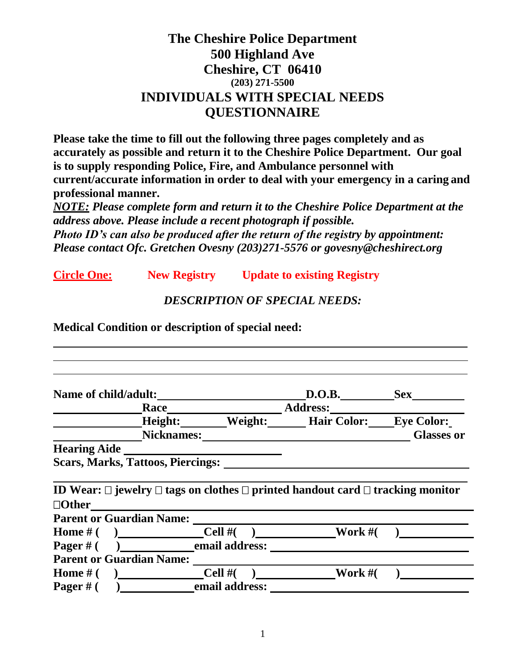# **The Cheshire Police Department 500 Highland Ave Cheshire, CT 06410 (203) 271-5500 INDIVIDUALS WITH SPECIAL NEEDS QUESTIONNAIRE**

**Please take the time to fill out the following three pages completely and as accurately as possible and return it to the Cheshire Police Department. Our goal is to supply responding Police, Fire, and Ambulance personnel with current/accurate information in order to deal with your emergency in a caring and professional manner.**

*NOTE: Please complete form and return it to the Cheshire Police Department at the address above. Please include a recent photograph if possible. Photo ID's can also be produced after the return of the registry by appointment: Please contact Ofc. Gretchen Ovesny (203)271-5576 or govesny@cheshirect.org*

**Circle One: New Registry Update to existing Registry**

#### *DESCRIPTION OF SPECIAL NEEDS:*

**Medical Condition or description of special need:**

| Name of child/adult:<br><u>Name of child/adult:</u>                                                                                                                                                                            |                                                                                                                 | D.O.B.  | <b>Sex</b>        |  |
|--------------------------------------------------------------------------------------------------------------------------------------------------------------------------------------------------------------------------------|-----------------------------------------------------------------------------------------------------------------|---------|-------------------|--|
|                                                                                                                                                                                                                                |                                                                                                                 |         |                   |  |
|                                                                                                                                                                                                                                | Height: Weight: Hair Color: Eye Color:                                                                          |         |                   |  |
|                                                                                                                                                                                                                                | Nicknames: Manual Micknames and Micknames and Micknames and Micknames and Mickensin and Mickensin and Mickensin |         | <b>Glasses or</b> |  |
| <b>Hearing Aide</b>                                                                                                                                                                                                            |                                                                                                                 |         |                   |  |
| <b>Scars, Marks, Tattoos, Piercings:</b>                                                                                                                                                                                       |                                                                                                                 |         |                   |  |
|                                                                                                                                                                                                                                |                                                                                                                 |         |                   |  |
|                                                                                                                                                                                                                                |                                                                                                                 |         |                   |  |
|                                                                                                                                                                                                                                |                                                                                                                 |         |                   |  |
|                                                                                                                                                                                                                                |                                                                                                                 |         |                   |  |
|                                                                                                                                                                                                                                |                                                                                                                 |         |                   |  |
|                                                                                                                                                                                                                                |                                                                                                                 |         |                   |  |
| ID Wear: $\square$ jewelry $\square$ tags on clothes $\square$ printed handout card $\square$ tracking monitor<br>$\Box$ Other<br><b>Home</b> # ( ) $\qquad \qquad \text{Cell } \#($ ) Work #(<br>$Pager \#( )$ email address: |                                                                                                                 |         |                   |  |
| <b>Parent or Guardian Name:</b>                                                                                                                                                                                                |                                                                                                                 |         |                   |  |
| Home $\#$ ( ) Cell $\#$                                                                                                                                                                                                        |                                                                                                                 | Work #( |                   |  |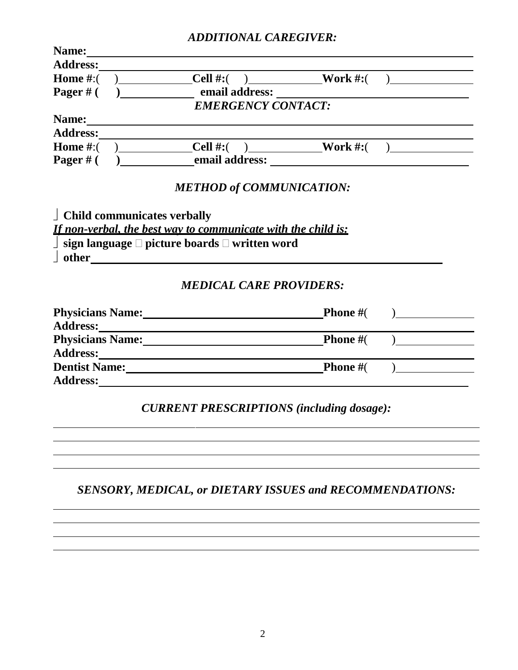#### *ADDITIONAL CAREGIVER:*

| Name:                 |                                                                                                                                                                                                                                      |                    |                |
|-----------------------|--------------------------------------------------------------------------------------------------------------------------------------------------------------------------------------------------------------------------------------|--------------------|----------------|
|                       |                                                                                                                                                                                                                                      |                    |                |
| <b>Home</b> $#$ : $($ | (b) Cell #:( (c) Work #:( (e)                                                                                                                                                                                                        |                    |                |
| Pager $#$ (           | a contract and analysis and address:                                                                                                                                                                                                 |                    |                |
|                       | <b>EMERGENCY CONTACT:</b>                                                                                                                                                                                                            |                    |                |
| Name:                 |                                                                                                                                                                                                                                      |                    |                |
|                       |                                                                                                                                                                                                                                      |                    |                |
|                       | Home #:( $)$ Cell #:( $)$ Work #:( $)$                                                                                                                                                                                               |                    |                |
| Pager $#$ (           | (b) a comail address:                                                                                                                                                                                                                |                    |                |
|                       | <b>METHOD of COMMUNICATION:</b>                                                                                                                                                                                                      |                    |                |
|                       | $\perp$ Child communicates verbally                                                                                                                                                                                                  |                    |                |
|                       | <u>If non-verbal, the best way to communicate with the child is:</u>                                                                                                                                                                 |                    |                |
|                       | $\Box$ sign language $\Box$ picture boards $\Box$ written word                                                                                                                                                                       |                    |                |
|                       | <u>deternational contract of the set of the set of the set of the set of the set of the set of the set of the set of the set of the set of the set of the set of the set of the set of the set of the set of the set of the set </u> |                    |                |
|                       | <b>MEDICAL CARE PROVIDERS:</b>                                                                                                                                                                                                       |                    |                |
|                       |                                                                                                                                                                                                                                      | <b>Phone</b> $#$ ( | $\overline{a}$ |
|                       |                                                                                                                                                                                                                                      |                    |                |
|                       | Physicians Name: Phone #(                                                                                                                                                                                                            |                    |                |
|                       |                                                                                                                                                                                                                                      |                    |                |
|                       | Dentist Name: Phone #(                                                                                                                                                                                                               |                    |                |
|                       |                                                                                                                                                                                                                                      |                    |                |
|                       |                                                                                                                                                                                                                                      |                    |                |
|                       | <b>CURRENT PRESCRIPTIONS (including dosage):</b>                                                                                                                                                                                     |                    |                |
|                       |                                                                                                                                                                                                                                      |                    |                |
|                       |                                                                                                                                                                                                                                      |                    |                |
|                       |                                                                                                                                                                                                                                      |                    |                |
|                       |                                                                                                                                                                                                                                      |                    |                |
|                       |                                                                                                                                                                                                                                      |                    |                |

*SENSORY, MEDICAL, or DIETARY ISSUES and RECOMMENDATIONS:*